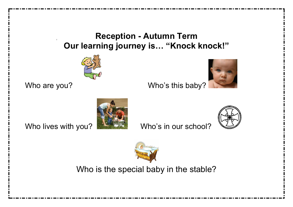# **Reception - Autumn Term Our learning journey is… "Knock knock!"**





Who are you? Who's this baby?







Who is the special baby in the stable?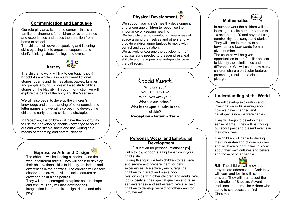### **Communication and Language**

 familiar environment for children to recreate roles Our role play area is a home corner – this is a and experiences and eases the transition from home to school.

The children will develop speaking and listening skills by using talk to organise, sequence and clarify thinking, ideas, feelings and events.



The children's work will link to our topic Knock! Knock! As a whole class we will read fictional stories, poems and rhymes about babies, families and people around us. We will also study biblical stories on the Nativity. Through non-fiction we will explore the parts of the body and the 5 senses.

We will also begin to develop the children's knowledge and understanding of letter sounds and letter names and we will also begin to develop the children's early reading skills and strategies.

In Reception, the children will have the opportunity to use their developing phonic knowledge to sound out and write simple labels and use writing as a means of recording and communication.

### **Expressive Arts and Design**

The children will be looking at portraits and the work of different artists. They will begin to develop their observational skills to identify similarities and differences in the portraits. The children will closely observe and draw individual facial features and draw and paint a self portrait.

They will be encouraged to explore colour, shape and texture. They will also develop their imagination in art, music, design, dance and role play.

### **Physical Development**

We support your child's healthy development and encourage children to recognise the importance of keeping healthy.

We help children to develop an awareness of space around themselves and others and will provide children opportunities to move with control and coordination.

We actively encourage the development of practical skills needed to dress/undress, eat skilfully and have personal independence in the bathroom.

## Knock! Knock!

Who are you? Who's this baby? Who lives with you? Who's in our school? Who is the special baby in the stable? Reception –Autumn Term

### **Personal, Social and Emotional Development**

[Education for personal relationships] Entry to 'big school' is a big transition in your child's life.

During this topic we help children to feel safe and secure and prepare them for new experiences. We actively encourage the children to interact and make good relationships with other children and adults. We look closely at their special qualities and raise self awareness and self esteem. We also help children to develop respect for others and for him/ herself.



In number work the children will be learning to recite number names to 10 and then to 20 and beyond using number rhymes, songs and stories. They will also learn how to count forwards and backwards from a given number.

The children will be given opportunities to sort familiar objects to identify their similarities and differences. We will count how many children share a particular feature, presenting results on a class pictogram.

#### **Understanding of the World**  Í

We will develop exploration and investigation skills learning about how we have changed and developed since we were babies.

They will begin to develop their sense of time. They will be finding out about past and present events in their own lives

The children will begin to develop their understanding of communities and will have opportunities to know about their own cultures and beliefs and those of other people



**R.E:** The children will know that prayers are addressed to God; they will learn and join in with school prayers. They will learn about the celebration of Baptism, Advent traditions and name the visitors who came to see Jesus that first Christmas.